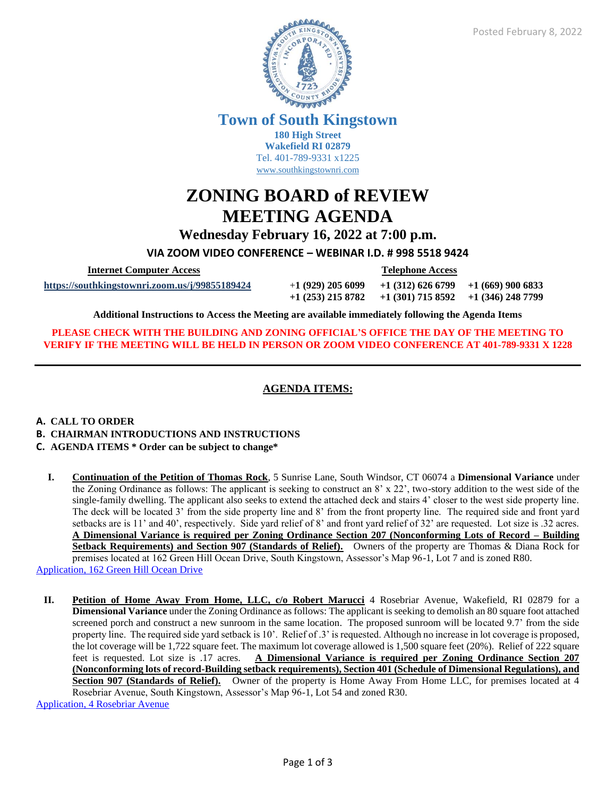

**Town of South Kingstown 180 High Street**

**Wakefield RI 02879** Tel. 401-789-9331 x1225 [www.southkingstownri.com](http://www.southkingstownri.com/)

# **ZONING BOARD of REVIEW MEETING AGENDA**

**Wednesday February 16, 2022 at 7:00 p.m.**

**VIA ZOOM VIDEO CONFERENCE – WEBINAR I.D. # 998 5518 9424**

 **Internet Computer Access Telephone Access**

**<https://southkingstownri.zoom.us/j/99855189424>** +**1 (929) 205 6099 +1 (312) 626 6799 +1 (669) 900 6833**

**+1 (253) 215 8782 +1 (301) 715 8592 +1 (346) 248 7799** 

**Additional Instructions to Access the Meeting are available immediately following the Agenda Items**

**PLEASE CHECK WITH THE BUILDING AND ZONING OFFICIAL'S OFFICE THE DAY OF THE MEETING TO VERIFY IF THE MEETING WILL BE HELD IN PERSON OR ZOOM VIDEO CONFERENCE AT 401-789-9331 X 1228**

## **AGENDA ITEMS:**

## **A. CALL TO ORDER**

- **B. CHAIRMAN INTRODUCTIONS AND INSTRUCTIONS**
- **C. AGENDA ITEMS \* Order can be subject to change\***
- **I. Continuation of the Petition of Thomas Rock**, 5 Sunrise Lane, South Windsor, CT 06074 a **Dimensional Variance** under the Zoning Ordinance as follows: The applicant is seeking to construct an 8' x 22', two-story addition to the west side of the single-family dwelling. The applicant also seeks to extend the attached deck and stairs 4' closer to the west side property line. The deck will be located 3' from the side property line and 8' from the front property line. The required side and front yard setbacks are is 11' and 40', respectively. Side yard relief of 8' and front yard relief of 32' are requested. Lot size is .32 acres. **A Dimensional Variance is required per Zoning Ordinance Section 207 (Nonconforming Lots of Record – Building Setback Requirements) and Section 907 (Standards of Relief).** Owners of the property are Thomas & Diana Rock for premises located at 162 Green Hill Ocean Drive, South Kingstown, Assessor's Map 96-1, Lot 7 and is zoned R80. [Application, 162 Green Hill Ocean Drive](https://www.southkingstownri.com/DocumentCenter/View/8746/Application-162-Green-Hill-Ocean-Drive)

**II. Petition of Home Away From Home, LLC, c/o Robert Marucci** 4 Rosebriar Avenue, Wakefield, RI 02879 for a **Dimensional Variance** under the Zoning Ordinance as follows: The applicant is seeking to demolish an 80 square foot attached screened porch and construct a new sunroom in the same location. The proposed sunroom will be located 9.7' from the side property line. The required side yard setback is 10'. Relief of .3' is requested. Although no increase in lot coverage is proposed, the lot coverage will be 1,722 square feet. The maximum lot coverage allowed is 1,500 square feet (20%). Relief of 222 square feet is requested. Lot size is .17 acres. **A Dimensional Variance is required per Zoning Ordinance Section 207 (Nonconforming lots of record-Building setback requirements), Section 401 (Schedule of Dimensional Regulations), and**  Section 907 (Standards of Relief). Owner of the property is Home Away From Home LLC, for premises located at 4 Rosebriar Avenue, South Kingstown, Assessor's Map 96-1, Lot 54 and zoned R30.

[Application, 4 Rosebriar Avenue](https://www.southkingstownri.com/DocumentCenter/View/9379/Application-4-Rosebriar-Avenue)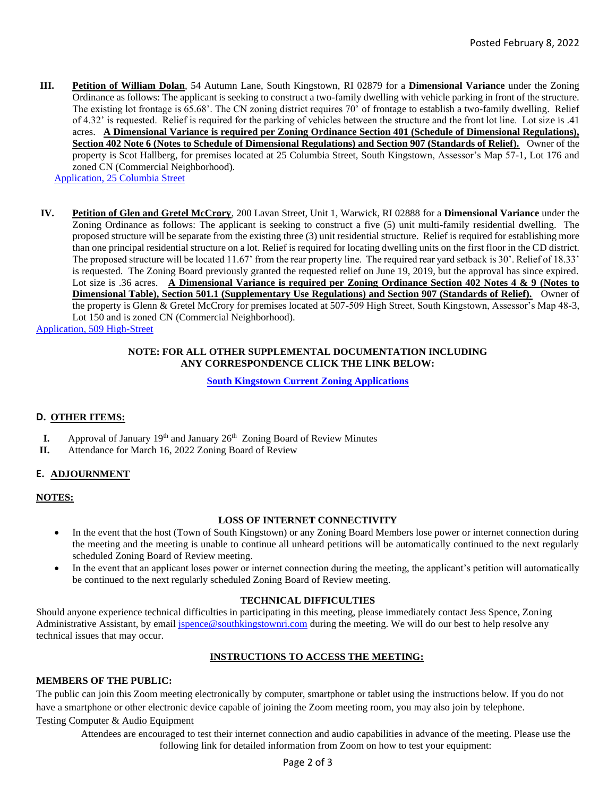**III. Petition of William Dolan**, 54 Autumn Lane, South Kingstown, RI 02879 for a **Dimensional Variance** under the Zoning Ordinance as follows: The applicant is seeking to construct a two-family dwelling with vehicle parking in front of the structure. The existing lot frontage is 65.68'. The CN zoning district requires 70' of frontage to establish a two-family dwelling. Relief of 4.32' is requested. Relief is required for the parking of vehicles between the structure and the front lot line. Lot size is .41 acres. **A Dimensional Variance is required per Zoning Ordinance Section 401 (Schedule of Dimensional Regulations), Section 402 Note 6 (Notes to Schedule of Dimensional Regulations) and Section 907 (Standards of Relief).** Owner of the property is Scot Hallberg, for premises located at 25 Columbia Street, South Kingstown, Assessor's Map 57-1, Lot 176 and zoned CN (Commercial Neighborhood).

[Application, 25 Columbia Street](https://www.southkingstownri.com/DocumentCenter/View/9378/Application-25-Columbia-Street)

**IV. Petition of Glen and Gretel McCrory**, 200 Lavan Street, Unit 1, Warwick, RI 02888 for a **Dimensional Variance** under the Zoning Ordinance as follows: The applicant is seeking to construct a five (5) unit multi-family residential dwelling. The proposed structure will be separate from the existing three (3) unit residential structure. Relief is required for establishing more than one principal residential structure on a lot. Relief is required for locating dwelling units on the first floor in the CD district. The proposed structure will be located 11.67' from the rear property line. The required rear yard setback is 30'. Relief of 18.33' is requested. The Zoning Board previously granted the requested relief on June 19, 2019, but the approval has since expired. Lot size is .36 acres. **A Dimensional Variance is required per Zoning Ordinance Section 402 Notes 4 & 9 (Notes to Dimensional Table), Section 501.1 (Supplementary Use Regulations) and Section 907 (Standards of Relief).** Owner of the property is Glenn & Gretel McCrory for premises located at 507-509 High Street, South Kingstown, Assessor's Map 48-3, Lot 150 and is zoned CN (Commercial Neighborhood).

[Application, 509 High-Street](https://www.southkingstownri.com/DocumentCenter/View/9380/Application-509-High-Street)

#### **NOTE: FOR ALL OTHER SUPPLEMENTAL DOCUMENTATION INCLUDING ANY CORRESPONDENCE CLICK THE LINK BELOW:**

**[South Kingstown Current Zoning Applications](https://www.southkingstownri.com/1000/Current-Zoning-Applications)**

## **D. OTHER ITEMS:**

- **I.** Approval of January 19<sup>th</sup> and January 26<sup>th</sup> Zoning Board of Review Minutes
- **II.** Attendance for March 16, 2022 Zoning Board of Review

## **E. ADJOURNMENT**

#### **NOTES:**

## **LOSS OF INTERNET CONNECTIVITY**

- In the event that the host (Town of South Kingstown) or any Zoning Board Members lose power or internet connection during the meeting and the meeting is unable to continue all unheard petitions will be automatically continued to the next regularly scheduled Zoning Board of Review meeting.
- In the event that an applicant loses power or internet connection during the meeting, the applicant's petition will automatically be continued to the next regularly scheduled Zoning Board of Review meeting.

## **TECHNICAL DIFFICULTIES**

Should anyone experience technical difficulties in participating in this meeting, please immediately contact Jess Spence, Zoning Administrative Assistant, by email [jspence@southkingstownri.com](mailto:jspence@southkingstownri.com) during the meeting. We will do our best to help resolve any technical issues that may occur.

## **INSTRUCTIONS TO ACCESS THE MEETING:**

## **MEMBERS OF THE PUBLIC:**

The public can join this Zoom meeting electronically by computer, smartphone or tablet using the instructions below. If you do not have a smartphone or other electronic device capable of joining the Zoom meeting room, you may also join by telephone.

#### Testing Computer & Audio Equipment

Attendees are encouraged to test their internet connection and audio capabilities in advance of the meeting. Please use the following link for detailed information from Zoom on how to test your equipment: